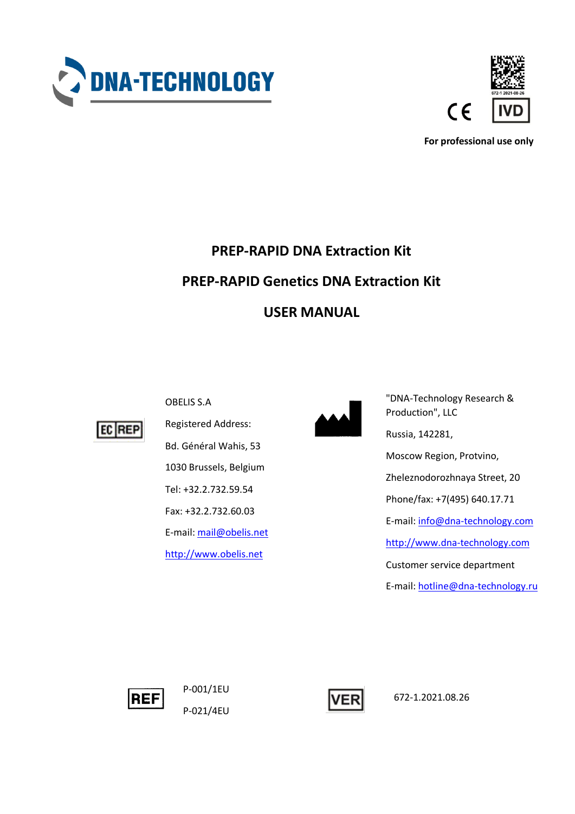



**For professional use only**

# **PREP-RAPID DNA Extraction Kit PREP-RAPID Genetics DNA Extraction Kit USER MANUAL**



OBELIS S.A

Registered Address: Bd. Général Wahis, 53 1030 Brussels, Belgium Tel: +32.2.732.59.54 Fax: +32.2.732.60.03 E-mail[: mail@obelis.net](mailto:mail@obelis.net) [http://www.obelis.net](http://www.obelis.net/)



"DNA-Technology Research & Production", LLC Russia, 142281, Moscow Region, Protvino, Zheleznodorozhnaya Street, 20 Phone/fax: +7(495) 640.17.71 E-mail: [info@dna-technology.com](mailto:info@dna-technology.com) [http://www.dna-technology.com](http://www.dna-technology.com/) Customer service department E-mail: [hotline@dna-technology.ru](mailto:hotline@dna-technology.ru)



P-001/1EU P-021/4EU



672-1.2021.08.26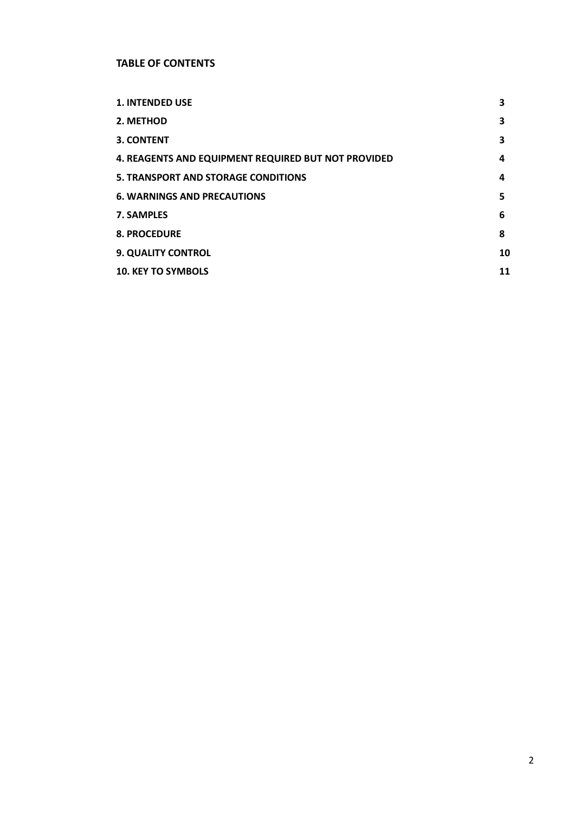# **TABLE OF CONTENTS**

| <b>1. INTENDED USE</b>                              | 3  |
|-----------------------------------------------------|----|
| 2. METHOD                                           | 3  |
| 3. CONTENT                                          | 3  |
| 4. REAGENTS AND EQUIPMENT REQUIRED BUT NOT PROVIDED | 4  |
| <b>5. TRANSPORT AND STORAGE CONDITIONS</b>          | 4  |
| <b>6. WARNINGS AND PRECAUTIONS</b>                  | 5  |
| 7. SAMPLES                                          | 6  |
| <b>8. PROCEDURE</b>                                 | 8  |
| <b>9. QUALITY CONTROL</b>                           | 10 |
| <b>10. KEY TO SYMBOLS</b>                           | 11 |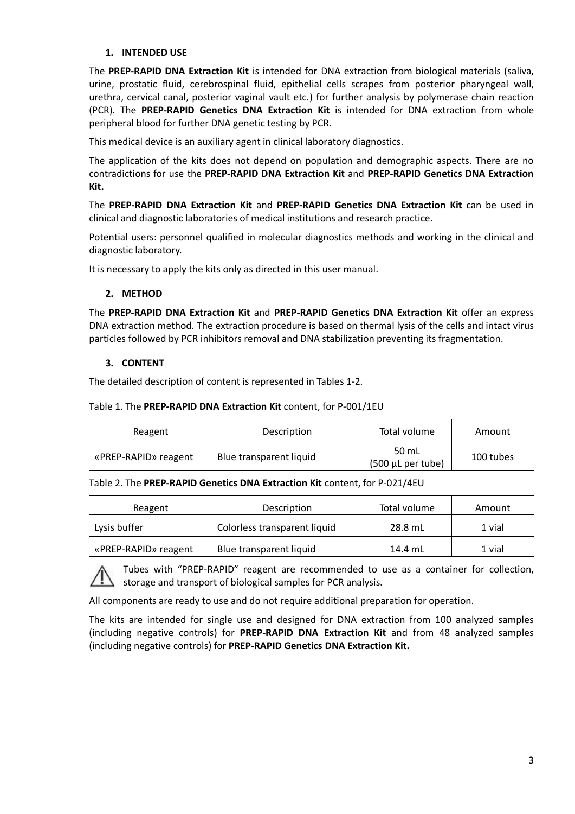# **1. INTENDED USE**

The **PREP-RAPID DNA Extraction Kit** is intended for DNA extraction from biological materials (saliva, urine, prostatic fluid, cerebrospinal fluid, epithelial cells scrapes from posterior pharyngeal wall, urethra, cervical canal, posterior vaginal vault etc.) for further analysis by polymerase chain reaction (PCR). The **PREP-RAPID Genetics DNA Extraction Kit** is intended for DNA extraction from whole peripheral blood for further DNA genetic testing by PCR.

This medical device is an auxiliary agent in clinical laboratory diagnostics.

The application of the kits does not depend on population and demographic aspects. There are no contradictions for use the **PREP-RAPID DNA Extraction Kit** and **PREP-RAPID Genetics DNA Extraction Kit.**

The **PREP-RAPID DNA Extraction Kit** and **PREP-RAPID Genetics DNA Extraction Kit** can be used in clinical and diagnostic laboratories of medical institutions and research practice.

Potential users: personnel qualified in molecular diagnostics methods and working in the clinical and diagnostic laboratory.

It is necessary to apply the kits only as directed in this user manual.

# **2. METHOD**

The **PREP-RAPID DNA Extraction Kit** and **PREP-RAPID Genetics DNA Extraction Kit** offer an express DNA extraction method. The extraction procedure is based on thermal lysis of the cells and intact virus particles followed by PCR inhibitors removal and DNA stabilization preventing its fragmentation.

# **3. CONTENT**

The detailed description of content is represented in Tables 1-2.

## Table 1. The **PREP-RAPID DNA Extraction Kit** content, for P-001/1EU

| Reagent              | Description             | Total volume                            | Amount    |
|----------------------|-------------------------|-----------------------------------------|-----------|
| «PREP-RAPID» reagent | Blue transparent liquid | 50 mL<br>$(500 \mu L \text{ per tube})$ | 100 tubes |

#### Table 2. The **PREP-RAPID Genetics DNA Extraction Kit** content, for P-021/4EU

| Reagent              | Total volume<br>Description  |         | Amount |
|----------------------|------------------------------|---------|--------|
| Lysis buffer         | Colorless transparent liquid | 28.8 mL | 1 vial |
| «PREP-RAPID» reagent | Blue transparent liquid      | 14.4 mL | 1 vial |

Tubes with "PREP-RAPID" reagent are recommended to use as a container for collection, storage and transport of biological samples for PCR analysis.

All components are ready to use and do not require additional preparation for operation.

The kits are intended for single use and designed for DNA extraction from 100 analyzed samples (including negative controls) for **PREP-RAPID DNA Extraction Kit** and from 48 analyzed samples (including negative controls) for **PREP-RAPID Genetics DNA Extraction Kit.**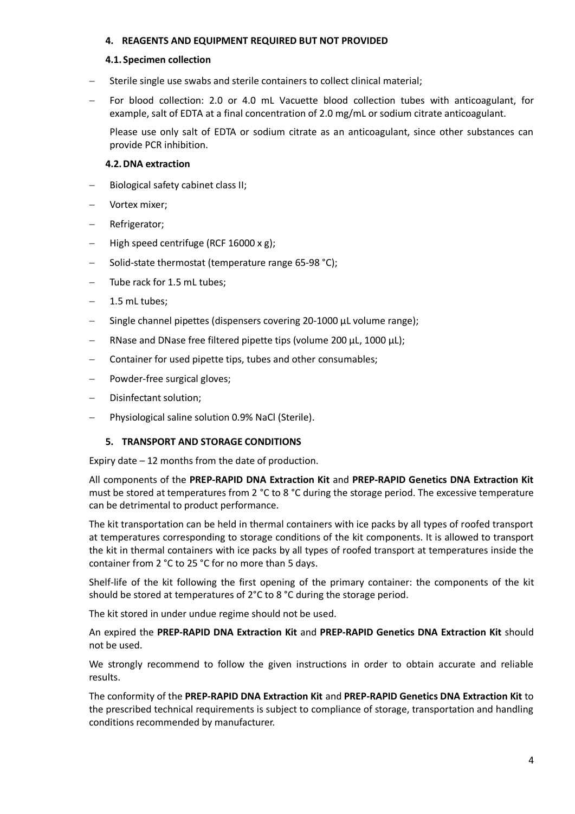## **4. REAGENTS AND EQUIPMENT REQUIRED BUT NOT PROVIDED**

#### **4.1. Specimen collection**

- Sterile single use swabs and sterile containers to collect clinical material;
- For blood collection: 2.0 or 4.0 mL Vacuette blood collection tubes with anticoagulant, for example, salt of EDTA at a final concentration of 2.0 mg/mL or sodium citrate anticoagulant.

Please use only salt of EDTA or sodium citrate as an anticoagulant, since other substances can provide PCR inhibition.

## **4.2.DNA extraction**

- Biological safety cabinet class II;
- Vortex mixer;
- Refrigerator;
- High speed centrifuge (RCF 16000 х g);
- Solid-state thermostat (temperature range 65-98 °C);
- Tube rack for 1.5 mL tubes;
- 1.5 mL tubes;
- Single channel pipettes (dispensers covering 20-1000 μL volume range);
- RNase and DNase free filtered pipette tips (volume 200 μL, 1000 μL);
- Container for used pipette tips, tubes and other consumables;
- Powder-free surgical gloves;
- Disinfectant solution;
- Physiological saline solution 0.9% NaCl (Sterile).

# **5. TRANSPORT AND STORAGE CONDITIONS**

Expiry date – 12 months from the date of production.

All components of the **PREP-RAPID DNA Extraction Kit** and **PREP-RAPID Genetics DNA Extraction Kit** must be stored at temperatures from 2 °C to 8 °C during the storage period. The excessive temperature can be detrimental to product performance.

The kit transportation can be held in thermal containers with ice packs by all types of roofed transport at temperatures corresponding to storage conditions of the kit components. It is allowed to transport the kit in thermal containers with ice packs by all types of roofed transport at temperatures inside the container from 2 °C to 25 °C for no more than 5 days.

Shelf-life of the kit following the first opening of the primary container: the components of the kit should be stored at temperatures of 2°C to 8 °C during the storage period.

The kit stored in under undue regime should not be used.

An expired the **PREP-RAPID DNA Extraction Kit** and **PREP-RAPID Genetics DNA Extraction Kit** should not be used.

We strongly recommend to follow the given instructions in order to obtain accurate and reliable results.

The conformity of the **PREP-RAPID DNA Extraction Kit** and **PREP-RAPID Genetics DNA Extraction Kit** to the prescribed technical requirements is subject to compliance of storage, transportation and handling conditions recommended by manufacturer.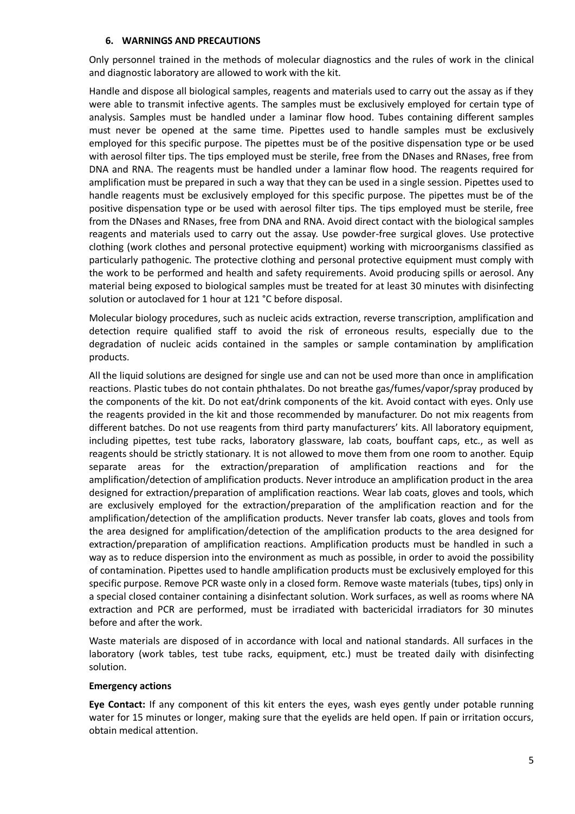## **6. WARNINGS AND PRECAUTIONS**

Only personnel trained in the methods of molecular diagnostics and the rules of work in the clinical and diagnostic laboratory are allowed to work with the kit.

Handle and dispose all biological samples, reagents and materials used to carry out the assay as if they were able to transmit infective agents. The samples must be exclusively employed for certain type of analysis. Samples must be handled under a laminar flow hood. Tubes containing different samples must never be opened at the same time. Pipettes used to handle samples must be exclusively employed for this specific purpose. The pipettes must be of the positive dispensation type or be used with aerosol filter tips. The tips employed must be sterile, free from the DNases and RNases, free from DNA and RNA. The reagents must be handled under a laminar flow hood. The reagents required for amplification must be prepared in such a way that they can be used in a single session. Pipettes used to handle reagents must be exclusively employed for this specific purpose. The pipettes must be of the positive dispensation type or be used with aerosol filter tips. The tips employed must be sterile, free from the DNases and RNases, free from DNA and RNA. Avoid direct contact with the biological samples reagents and materials used to carry out the assay. Use powder-free surgical gloves. Use protective clothing (work clothes and personal protective equipment) working with microorganisms classified as particularly pathogenic. The protective clothing and personal protective equipment must comply with the work to be performed and health and safety requirements. Avoid producing spills or aerosol. Any material being exposed to biological samples must be treated for at least 30 minutes with disinfecting solution or autoclaved for 1 hour at 121 °C before disposal.

Molecular biology procedures, such as nucleic acids extraction, reverse transcription, amplification and detection require qualified staff to avoid the risk of erroneous results, especially due to the degradation of nucleic acids contained in the samples or sample contamination by amplification products.

All the liquid solutions are designed for single use and can not be used more than once in amplification reactions. Plastic tubes do not contain phthalates. Do not breathe gas/fumes/vapor/spray produced by the components of the kit. Do not eat/drink components of the kit. Avoid contact with eyes. Only use the reagents provided in the kit and those recommended by manufacturer. Do not mix reagents from different batches. Do not use reagents from third party manufacturers' kits. All laboratory equipment, including pipettes, test tube racks, laboratory glassware, lab coats, bouffant caps, etc., as well as reagents should be strictly stationary. It is not allowed to move them from one room to another. Equip separate areas for the extraction/preparation of amplification reactions and for the amplification/detection of amplification products. Never introduce an amplification product in the area designed for extraction/preparation of amplification reactions. Wear lab coats, gloves and tools, which are exclusively employed for the extraction/preparation of the amplification reaction and for the amplification/detection of the amplification products. Never transfer lab coats, gloves and tools from the area designed for amplification/detection of the amplification products to the area designed for extraction/preparation of amplification reactions. Amplification products must be handled in such a way as to reduce dispersion into the environment as much as possible, in order to avoid the possibility of contamination. Pipettes used to handle amplification products must be exclusively employed for this specific purpose. Remove PCR waste only in a closed form. Remove waste materials (tubes, tips) only in a special closed container containing a disinfectant solution. Work surfaces, as well as rooms where NA extraction and PCR are performed, must be irradiated with bactericidal irradiators for 30 minutes before and after the work.

Waste materials are disposed of in accordance with local and national standards. All surfaces in the laboratory (work tables, test tube racks, equipment, etc.) must be treated daily with disinfecting solution.

#### **Emergency actions**

**Eye Contact:** If any component of this kit enters the eyes, wash eyes gently under potable running water for 15 minutes or longer, making sure that the eyelids are held open. If pain or irritation occurs, obtain medical attention.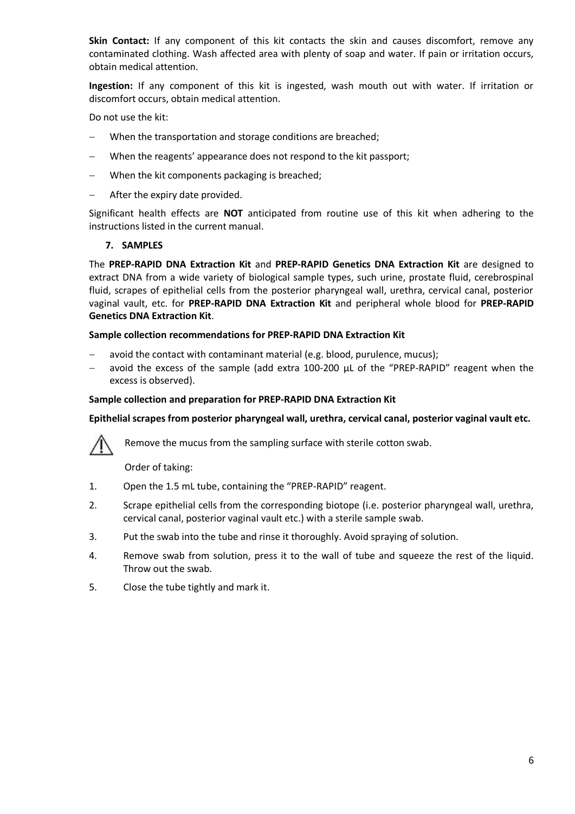**Skin Contact:** If any component of this kit contacts the skin and causes discomfort, remove any contaminated clothing. Wash affected area with plenty of soap and water. If pain or irritation occurs, obtain medical attention.

**Ingestion:** If any component of this kit is ingested, wash mouth out with water. If irritation or discomfort occurs, obtain medical attention.

Do not use the kit:

- When the transportation and storage conditions are breached;
- When the reagents' appearance does not respond to the kit passport;
- When the kit components packaging is breached;
- After the expiry date provided.

Significant health effects are **NOT** anticipated from routine use of this kit when adhering to the instructions listed in the current manual.

#### **7. SAMPLES**

The **PREP-RAPID DNA Extraction Kit** and **PREP-RAPID Genetics DNA Extraction Kit** are designed to extract DNA from a wide variety of biological sample types, such urine, prostate fluid, cerebrospinal fluid, scrapes of epithelial cells from the posterior pharyngeal wall, urethra, cervical canal, posterior vaginal vault, etc. for **PREP-RAPID DNA Extraction Kit** and peripheral whole blood for **PREP-RAPID Genetics DNA Extraction Kit**.

# **Sample collection recommendations for PREP-RAPID DNA Extraction Kit**

- avoid the contact with contaminant material (e.g. blood, purulence, mucus);
- avoid the excess of the sample (add extra 100-200 µL of the "PREP-RAPID" reagent when the excess is observed).

## **Sample collection and preparation for PREP-RAPID DNA Extraction Kit**

#### **Epithelial scrapes from posterior pharyngeal wall, urethra, cervical canal, posterior vaginal vault etc.**



Remove the mucus from the sampling surface with sterile cotton swab.

Order of taking:

- 1. Open the 1.5 mL tube, containing the "PREP-RAPID" reagent.
- 2. Scrape epithelial cells from the corresponding biotope (i.e. posterior pharyngeal wall, urethra, cervical canal, posterior vaginal vault etc.) with a sterile sample swab.
- 3. Put the swab into the tube and rinse it thoroughly. Avoid spraying of solution.
- 4. Remove swab from solution, press it to the wall of tube and squeeze the rest of the liquid. Throw out the swab.
- 5. Close the tube tightly and mark it.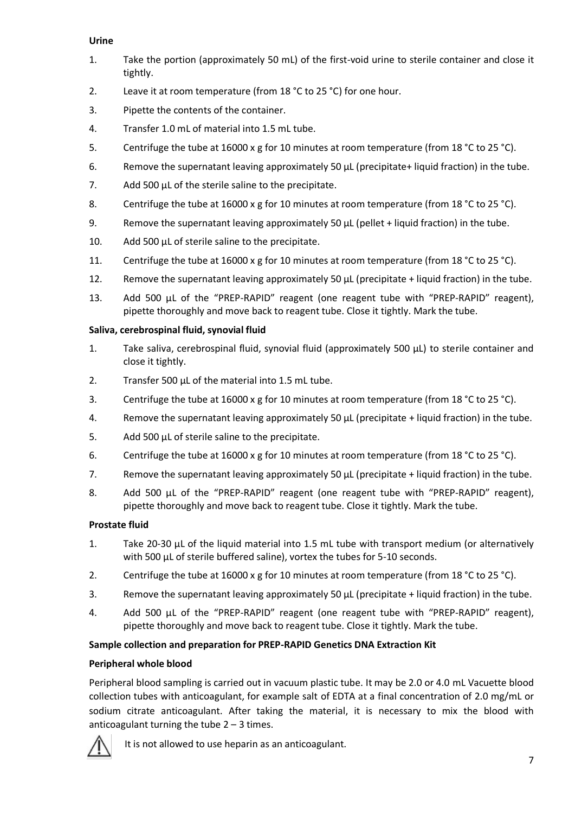## **Urine**

- 1. Take the portion (approximately 50 mL) of the first-void urine to sterile container and close it tightly.
- 2. Leave it at room temperature (from 18 °C to 25 °C) for one hour.
- 3. Pipette the contents of the container.
- 4. Transfer 1.0 mL of material into 1.5 mL tube.
- 5. Centrifuge the tube at 16000 x g for 10 minutes at room temperature (from 18 °C to 25 °C).
- 6. Remove the supernatant leaving approximately 50 µL (precipitate+ liquid fraction) in the tube.
- 7. Add 500 µL of the sterile saline to the precipitate.
- 8. Centrifuge the tube at 16000 x g for 10 minutes at room temperature (from 18 °C to 25 °C).
- 9. Remove the supernatant leaving approximately 50 µL (pellet + liquid fraction) in the tube.
- 10. Add 500 µL of sterile saline to the precipitate.
- 11. Centrifuge the tube at 16000 x g for 10 minutes at room temperature (from 18 °C to 25 °C).
- 12. Remove the supernatant leaving approximately 50 µL (precipitate + liquid fraction) in the tube.
- 13. Add 500 µL of the "PREP-RAPID" reagent (one reagent tube with "PREP-RAPID" reagent), pipette thoroughly and move back to reagent tube. Close it tightly. Mark the tube.

## **Saliva, cerebrospinal fluid, synovial fluid**

- 1. Take saliva, cerebrospinal fluid, synovial fluid (approximately 500 µL) to sterile container and close it tightly.
- 2. Transfer 500 µL of the material into 1.5 mL tube.
- 3. Centrifuge the tube at 16000 x g for 10 minutes at room temperature (from 18 °C to 25 °C).
- 4. Remove the supernatant leaving approximately 50 µL (precipitate + liquid fraction) in the tube.
- 5. Add 500 µL of sterile saline to the precipitate.
- 6. Centrifuge the tube at 16000 x g for 10 minutes at room temperature (from 18 °C to 25 °C).
- 7. Remove the supernatant leaving approximately 50 µL (precipitate + liquid fraction) in the tube.
- 8. Add 500 µL of the "PREP-RAPID" reagent (one reagent tube with "PREP-RAPID" reagent), pipette thoroughly and move back to reagent tube. Close it tightly. Mark the tube.

# **Prostate fluid**

- 1. Take 20-30 µL of the liquid material into 1.5 mL tube with transport medium (or alternatively with 500  $\mu$ L of sterile buffered saline), vortex the tubes for 5-10 seconds.
- 2. Centrifuge the tube at 16000 x g for 10 minutes at room temperature (from 18 °C to 25 °C).
- 3. Remove the supernatant leaving approximately 50 µL (precipitate + liquid fraction) in the tube.
- 4. Add 500 µL of the "PREP-RAPID" reagent (one reagent tube with "PREP-RAPID" reagent), pipette thoroughly and move back to reagent tube. Close it tightly. Mark the tube.

# **Sample collection and preparation for PREP-RAPID Genetics DNA Extraction Kit**

#### **Peripheral whole blood**

Peripheral blood sampling is carried out in vacuum plastic tube. It may be 2.0 or 4.0 mL Vacuette blood collection tubes with anticoagulant, for example salt of EDTA at a final concentration of 2.0 mg/mL or sodium citrate anticoagulant. After taking the material, it is necessary to mix the blood with anticoagulant turning the tube  $2 - 3$  times.



It is not allowed to use heparin as an anticoagulant.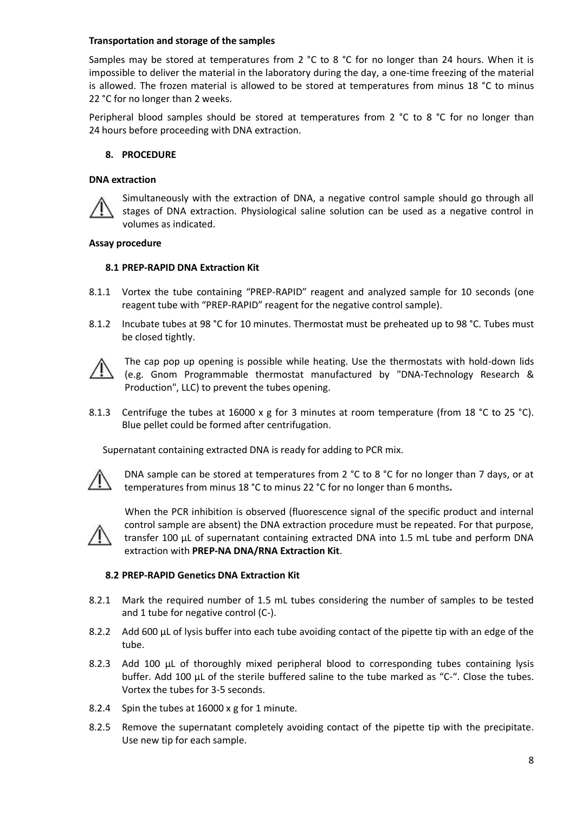## **Transportation and storage of the samples**

Samples may be stored at temperatures from 2  $^{\circ}$ C to 8  $^{\circ}$ C for no longer than 24 hours. When it is impossible to deliver the material in the laboratory during the day, a one-time freezing of the material is allowed. The frozen material is allowed to be stored at temperatures from minus 18 °С to minus 22 °С for no longer than 2 weeks.

Peripheral blood samples should be stored at temperatures from 2 °С to 8 °С for no longer than 24 hours before proceeding with DNA extraction.

## **8. PROCEDURE**

#### **DNA extraction**



Simultaneously with the extraction of DNA, a negative control sample should go through all stages of DNA extraction. Physiological saline solution can be used as a negative control in volumes as indicated.

#### **Assay procedure**

#### **8.1 PREP-RAPID DNA Extraction Kit**

- 8.1.1 Vortex the tube containing "PREP-RAPID" reagent and analyzed sample for 10 seconds (one reagent tube with "PREP-RAPID" reagent for the negative control sample).
- 8.1.2 Incubate tubes at 98 °С for 10 minutes. Thermostat must be preheated up to 98 °С. Tubes must be closed tightly.



The cap pop up opening is possible while heating. Use the thermostats with hold-down lids (e.g. Gnom Programmable thermostat manufactured by "DNA-Technology Research & Production", LLC) to prevent the tubes opening.

8.1.3 Centrifuge the tubes at 16000 x g for 3 minutes at room temperature (from 18 °C to 25 °C). Blue pellet could be formed after centrifugation.

Supernatant containing extracted DNA is ready for adding to PCR mix.



DNA sample can be stored at temperatures from 2 °C to 8 °C for no longer than 7 days, or at temperatures from minus 18 °C to minus 22 °C for no longer than 6 months**.**



When the PCR inhibition is observed (fluorescence signal of the specific product and internal control sample are absent) the DNA extraction procedure must be repeated. For that purpose, transfer 100 µL of supernatant containing extracted DNA into 1.5 mL tube and perform DNA extraction with **PREP-NA DNA/RNA Extraction Kit**.

#### **8.2 PREP-RAPID Genetics DNA Extraction Kit**

- 8.2.1 Mark the required number of 1.5 mL tubes considering the number of samples to be tested and 1 tube for negative control (C-).
- 8.2.2 Add 600 μL of lysis buffer into each tube avoiding contact of the pipette tip with an edge of the tube.
- 8.2.3 Add 100 µL of thoroughly mixed peripheral blood to corresponding tubes containing lysis buffer. Add 100  $\mu$ L of the sterile buffered saline to the tube marked as "C-". Close the tubes. Vortex the tubes for 3-5 seconds.
- 8.2.4 Spin the tubes at 16000 x g for 1 minute.
- 8.2.5 Remove the supernatant completely avoiding contact of the pipette tip with the precipitate. Use new tip for each sample.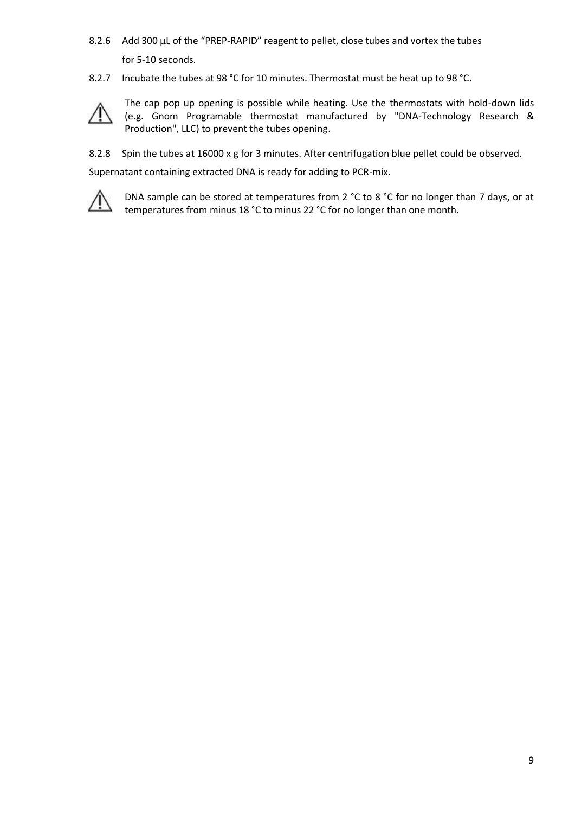- 8.2.6 Add 300 μL of the "PREP-RAPID" reagent to pellet, close tubes and vortex the tubes for 5-10 seconds.
- 8.2.7 Incubate the tubes at 98 °C for 10 minutes. Thermostat must be heat up to 98 °C.



The cap pop up opening is possible while heating. Use the thermostats with hold-down lids (e.g. Gnom Programable thermostat manufactured by "DNA-Technology Research & Production", LLC) to prevent the tubes opening.

8.2.8 Spin the tubes at 16000 x g for 3 minutes. After centrifugation blue pellet could be observed.

Supernatant containing extracted DNA is ready for adding to PCR-mix.



DNA sample can be stored at temperatures from 2 °C to 8 °C for no longer than 7 days, or at temperatures from minus 18 °C to minus 22 °C for no longer than one month.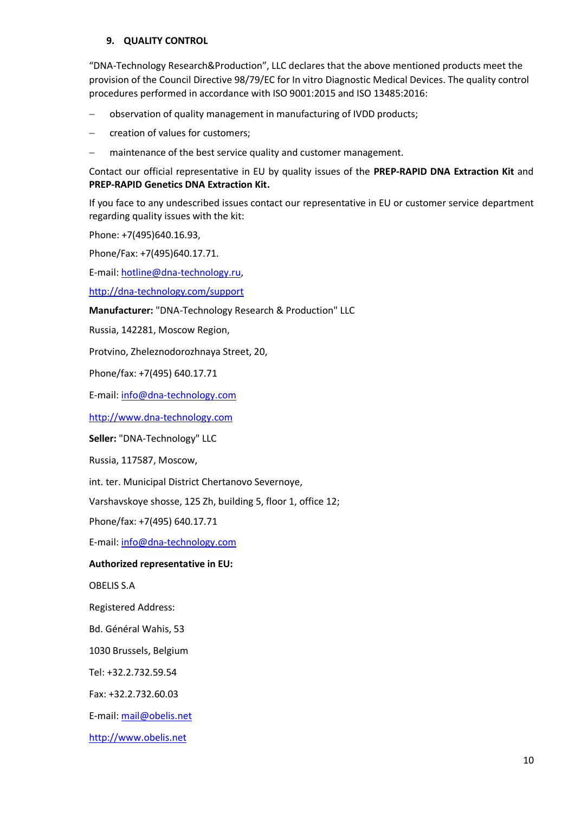## **9. QUALITY CONTROL**

"DNA-Technology Research&Production", LLC declares that the above mentioned products meet the provision of the Council Directive 98/79/EC for In vitro Diagnostic Medical Devices. The quality control procedures performed in accordance with ISO 9001:2015 and ISO 13485:2016:

observation of quality management in manufacturing of IVDD products;

creation of values for customers;

maintenance of the best service quality and customer management.

Contact our official representative in EU by quality issues of the **PREP-RAPID DNA Extraction Kit** and **PREP-RAPID Genetics DNA Extraction Kit.**

If you face to any undescribed issues contact our representative in EU or customer service department regarding quality issues with the kit:

Phone: +7(495)640.16.93,

Phone/Fax: +7(495)640.17.71.

E-mail[: hotline@dna-technology.ru,](mailto:hotline@dna-technology.ru)

<http://dna-technology.com/support>

**Manufacturer:** "DNA-Technology Research & Production" LLC

Russia, 142281, Moscow Region,

Protvino, Zheleznodorozhnaya Street, 20,

Phone/fax: +7(495) 640.17.71

E-mail[: info@dna-technology.com](mailto:info@dna-technology.com)

[http://www.dna-technology.com](http://www.dna-technology.ru/)

**Seller:** "DNA-Technology" LLC

Russia, 117587, Moscow,

int. ter. Municipal District Chertanovo Severnoye,

Varshavskoye shosse, 125 Zh, building 5, floor 1, office 12;

Phone/fax: +7(495) 640.17.71

E-mail[: info@dna-technology.com](mailto:info@dna-technology.com)

#### **Authorized representative in EU:**

OBELIS S.A

Registered Address:

Bd. Général Wahis, 53

1030 Brussels, Belgium

Tel: +32.2.732.59.54

Fax: +32.2.732.60.03

E-mail[: mail@obelis.net](mailto:mail@obelis.net)

[http://www.obelis.net](http://www.obelis.net/)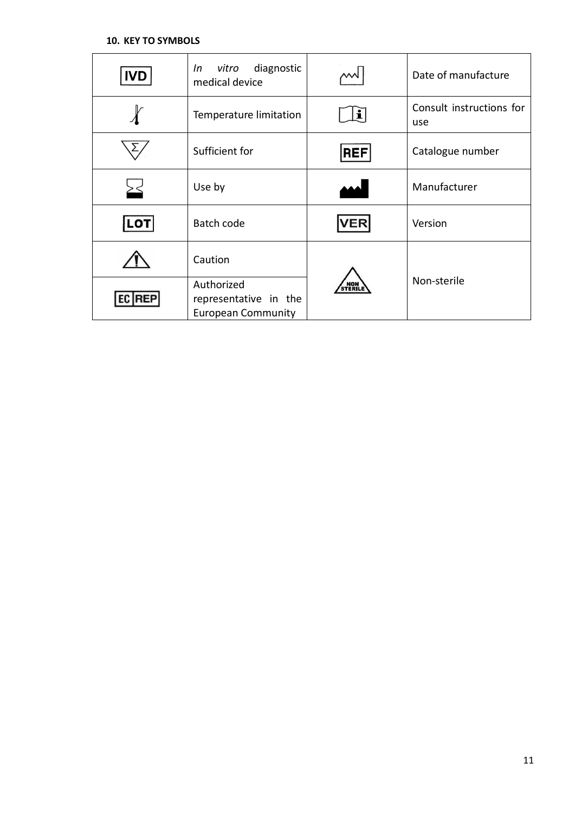| <b>IVD</b> | diagnostic<br>vitro<br>In<br>medical device                      |            | Date of manufacture             |  |
|------------|------------------------------------------------------------------|------------|---------------------------------|--|
|            | Temperature limitation                                           |            | Consult instructions for<br>use |  |
|            | Sufficient for                                                   | <b>REF</b> | Catalogue number                |  |
|            | Use by                                                           |            | Manufacturer                    |  |
| LO1        | Batch code                                                       | <b>VER</b> | Version                         |  |
|            | Caution                                                          |            |                                 |  |
| REP        | Authorized<br>representative in the<br><b>European Community</b> | NON        | Non-sterile                     |  |